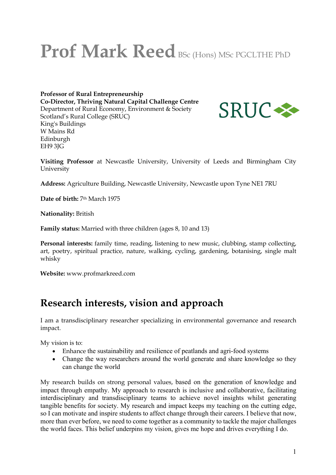# **Prof Mark Reed** BSc (Hons) MSc PGCLTHE PhD

**Professor of Rural Entrepreneurship Co-Director, Thriving Natural Capital Challenge Centre** Department of Rural Economy, Environment & Society Scotland's Rural College (SRUC) King's Buildings W Mains Rd Edinburgh EH9 3JG



**Visiting Professor** at Newcastle University, University of Leeds and Birmingham City University

**Address:** Agriculture Building, Newcastle University, Newcastle upon Tyne NE1 7RU

**Date of birth:** 7th March 1975

**Nationality:** British

**Family status:** Married with three children (ages 8, 10 and 13)

**Personal interests:** family time, reading, listening to new music, clubbing, stamp collecting, art, poetry, spiritual practice, nature, walking, cycling, gardening, botanising, single malt whisky

**Website:** www.profmarkreed.com

# **Research interests, vision and approach**

I am a transdisciplinary researcher specializing in environmental governance and research impact.

My vision is to:

- Enhance the sustainability and resilience of peatlands and agri-food systems
- Change the way researchers around the world generate and share knowledge so they can change the world

My research builds on strong personal values, based on the generation of knowledge and impact through empathy. My approach to research is inclusive and collaborative, facilitating interdisciplinary and transdisciplinary teams to achieve novel insights whilst generating tangible benefits for society. My research and impact keeps my teaching on the cutting edge, so I can motivate and inspire students to affect change through their careers. I believe that now, more than ever before, we need to come together as a community to tackle the major challenges the world faces. This belief underpins my vision, gives me hope and drives everything I do.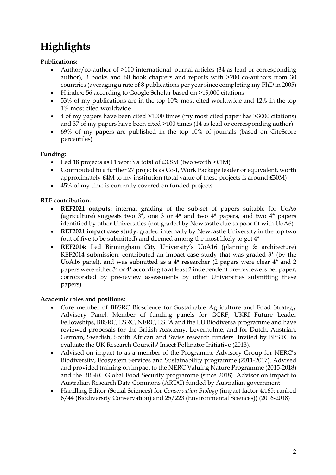# **Highlights**

#### **Publications:**

- Author/co-author of >100 international journal articles (34 as lead or corresponding author), 3 books and 60 book chapters and reports with >200 co-authors from 30 countries (averaging a rate of 8 publications per year since completing my PhD in 2005)
- H index: 56 according to Google Scholar based on >19,000 citations
- 53% of my publications are in the top 10% most cited worldwide and 12% in the top 1% most cited worldwide
- 4 of my papers have been cited >1000 times (my most cited paper has >3000 citations) and 37 of my papers have been cited >100 times (14 as lead or corresponding author)
- 69% of my papers are published in the top 10% of journals (based on CiteScore percentiles)

#### **Funding:**

- Led 18 projects as PI worth a total of £3.8M (two worth >£1M)
- Contributed to a further 27 projects as Co-I, Work Package leader or equivalent, worth approximately £4M to my institution (total value of these projects is around £30M)
- 45% of my time is currently covered on funded projects

#### **REF contribution:**

- **REF2021 outputs:** internal grading of the sub-set of papers suitable for UoA6 (agriculture) suggests two  $3^*$ , one 3 or  $4^*$  and two  $4^*$  papers, and two  $4^*$  papers identified by other Universities (not graded by Newcastle due to poor fit with UoA6)
- **REF2021 impact case study:** graded internally by Newcastle University in the top two (out of five to be submitted) and deemed among the most likely to get 4\*
- **REF2014:** Led Birmingham City University's UoA16 (planning & architecture) REF2014 submission, contributed an impact case study that was graded 3\* (by the UoA16 panel), and was submitted as a 4\* researcher (2 papers were clear 4\* and 2 papers were either 3\* or 4\* according to at least 2 independent pre-reviewers per paper, corroborated by pre-review assessments by other Universities submitting these papers)

#### **Academic roles and positions:**

- Core member of BBSRC Bioscience for Sustainable Agriculture and Food Strategy Advisory Panel. Member of funding panels for GCRF, UKRI Future Leader Fellowships, BBSRC, ESRC, NERC, ESPA and the EU Biodiversa programme and have reviewed proposals for the British Academy, Leverhulme, and for Dutch, Austrian, German, Swedish, South African and Swiss research funders. Invited by BBSRC to evaluate the UK Research Councils' Insect Pollinator Initiative (2013).
- Advised on impact to as a member of the Programme Advisory Group for NERC's Biodiversity, Ecosystem Services and Sustainability programme (2011-2017). Advised and provided training on impact to the NERC Valuing Nature Programme (2015-2018) and the BBSRC Global Food Security programme (since 2018). Advisor on impact to Australian Research Data Commons (ARDC) funded by Australian government
- Handling Editor (Social Sciences) for *Conservation Biology* (impact factor 4.165; ranked 6/44 (Biodiversity Conservation) and 25/223 (Environmental Sciences)) (2016-2018)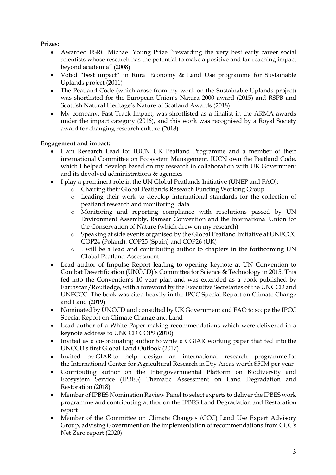#### **Prizes:**

- Awarded ESRC Michael Young Prize "rewarding the very best early career social scientists whose research has the potential to make a positive and far-reaching impact beyond academia" (2008)
- Voted "best impact" in Rural Economy & Land Use programme for Sustainable Uplands project (2011)
- The Peatland Code (which arose from my work on the Sustainable Uplands project) was shortlisted for the European Union's Natura 2000 award (2015) and RSPB and Scottish Natural Heritage's Nature of Scotland Awards (2018)
- My company, Fast Track Impact, was shortlisted as a finalist in the ARMA awards under the impact category (2016), and this work was recognised by a Royal Society award for changing research culture (2018)

#### **Engagement and impact:**

- I am Research Lead for IUCN UK Peatland Programme and a member of their international Committee on Ecosystem Management. IUCN own the Peatland Code, which I helped develop based on my research in collaboration with UK Government and its devolved administrations & agencies
- I play a prominent role in the UN Global Peatlands Initiative (UNEP and FAO):
	- o Chairing their Global Peatlands Research Funding Working Group
	- o Leading their work to develop international standards for the collection of peatland research and monitoring data
	- o Monitoring and reporting compliance with resolutions passed by UN Environment Assembly, Ramsar Convention and the International Union for the Conservation of Nature (which drew on my research)
	- o Speaking at side events organised by the Global Peatland Initiative at UNFCCC COP24 (Poland), COP25 (Spain) and COP26 (UK)
	- o I will be a lead and contributing author to chapters in the forthcoming UN Global Peatland Assessment
- Lead author of Impulse Report leading to opening keynote at UN Convention to Combat Desertification (UNCCD)'s Committee for Science & Technology in 2015. This fed into the Convention's 10 year plan and was extended as a book published by Earthscan/Routledge, with a foreword by the Executive Secretaries of the UNCCD and UNFCCC. The book was cited heavily in the IPCC Special Report on Climate Change and Land (2019)
- Nominated by UNCCD and consulted by UK Government and FAO to scope the IPCC Special Report on Climate Change and Land
- Lead author of a White Paper making recommendations which were delivered in a keynote address to UNCCD COP9 (2010)
- Invited as a co-ordinating author to write a CGIAR working paper that fed into the UNCCD's first Global Land Outlook (2017)
- Invited by GIAR to help design an international research programme for the International Center for Agricultural Research in Dry Areas worth \$50M per year
- Contributing author on the Intergovernmental Platform on Biodiversity and Ecosystem Service (IPBES) Thematic Assessment on Land Degradation and Restoration (2018)
- Member of IPBES Nomination Review Panel to select experts to deliver the IPBES work programme and contributing author on the IPBES Land Degradation and Restoration report
- Member of the Committee on Climate Change's (CCC) Land Use Expert Advisory Group, advising Government on the implementation of recommendations from CCC's Net Zero report (2020)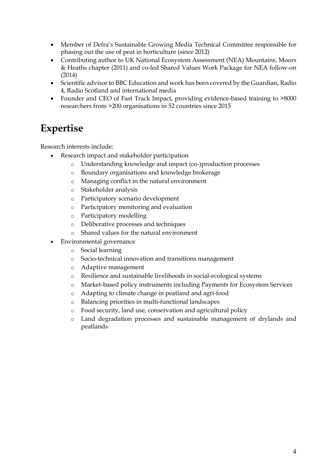- Member of Defra's Sustainable Growing Media Technical Committee responsible for phasing out the use of peat in horticulture (since 2012)
- Contributing author to UK National Ecosystem Assessment (NEA) Mountains, Moors & Heaths chapter (2011) and co-led Shared Values Work Package for NEA follow-on (2014)
- Scientific advisor to BBC Education and work has been covered by the Guardian, Radio 4, Radio Scotland and international media
- Founder and CEO of Fast Track Impact, providing evidence-based training to >8000 researchers from >200 organisations in 52 countries since 2015

# **Expertise**

Research interests include:

- Research impact and stakeholder participation
	- o Understanding knowledge and impact (co-)production processes
	- o Boundary organisations and knowledge brokerage
	- o Managing conflict in the natural environment
	- o Stakeholder analysis
	- o Participatory scenario development
	- o Participatory monitoring and evaluation
	- o Participatory modelling
	- o Deliberative processes and techniques
	- o Shared values for the natural environment
- Environmental governance
	- o Social learning
	- o Socio-technical innovation and transitions management
	- o Adaptive management
	- o Resilience and sustainable livelihoods in social-ecological systems
	- o Market-based policy instruments including Payments for Ecosystem Services
	- o Adapting to climate change in peatland and agri-food
	- o Balancing priorities in multi-functional landscapes
	- o Food security, land use, conservation and agricultural policy
	- o Land degradation processes and sustainable management of drylands and peatlands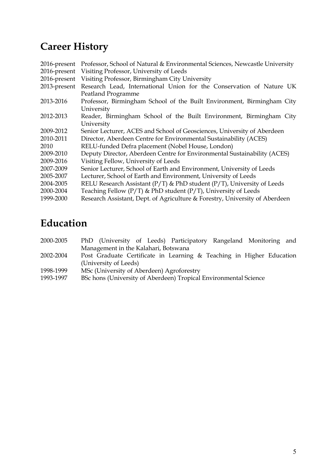# **Career History**

| 2016-present | Professor, School of Natural & Environmental Sciences, Newcastle University    |  |  |  |  |  |  |  |
|--------------|--------------------------------------------------------------------------------|--|--|--|--|--|--|--|
| 2016-present | Visiting Professor, University of Leeds                                        |  |  |  |  |  |  |  |
| 2016-present | Visiting Professor, Birmingham City University                                 |  |  |  |  |  |  |  |
| 2013-present | Research Lead, International Union for the Conservation of Nature UK           |  |  |  |  |  |  |  |
|              | Peatland Programme                                                             |  |  |  |  |  |  |  |
| 2013-2016    | Professor, Birmingham School of the Built Environment, Birmingham City         |  |  |  |  |  |  |  |
|              | University                                                                     |  |  |  |  |  |  |  |
| 2012-2013    | Reader, Birmingham School of the Built Environment, Birmingham City            |  |  |  |  |  |  |  |
|              | University                                                                     |  |  |  |  |  |  |  |
| 2009-2012    | Senior Lecturer, ACES and School of Geosciences, University of Aberdeen        |  |  |  |  |  |  |  |
| 2010-2011    | Director, Aberdeen Centre for Environmental Sustainability (ACES)              |  |  |  |  |  |  |  |
| 2010         | RELU-funded Defra placement (Nobel House, London)                              |  |  |  |  |  |  |  |
| 2009-2010    | Deputy Director, Aberdeen Centre for Environmental Sustainability (ACES)       |  |  |  |  |  |  |  |
| 2009-2016    | Visiting Fellow, University of Leeds                                           |  |  |  |  |  |  |  |
| 2007-2009    | Senior Lecturer, School of Earth and Environment, University of Leeds          |  |  |  |  |  |  |  |
| 2005-2007    | Lecturer, School of Earth and Environment, University of Leeds                 |  |  |  |  |  |  |  |
| 2004-2005    | RELU Research Assistant ( $P/T$ ) & PhD student ( $P/T$ ), University of Leeds |  |  |  |  |  |  |  |
| 2000-2004    | Teaching Fellow (P/T) & PhD student (P/T), University of Leeds                 |  |  |  |  |  |  |  |
| 1999-2000    | Research Assistant, Dept. of Agriculture & Forestry, University of Aberdeen    |  |  |  |  |  |  |  |
|              |                                                                                |  |  |  |  |  |  |  |

# **Education**

| 2000-2005  |                                      |  |  |  | PhD (University of Leeds) Participatory Rangeland Monitoring and                                                                                                                                                  |  |  |  |  |
|------------|--------------------------------------|--|--|--|-------------------------------------------------------------------------------------------------------------------------------------------------------------------------------------------------------------------|--|--|--|--|
|            | Management in the Kalahari, Botswana |  |  |  |                                                                                                                                                                                                                   |  |  |  |  |
| anna ann a |                                      |  |  |  | $\mathbf{D}_{\text{out}}$ $\mathbf{C}_{\text{out}}$ and $\mathbf{C}_{\text{out}}$ is the $\mathbf{L}_{\text{out}}$ of $\mathbf{C}_{\text{out}}$ in the $\mathbf{C}_{\text{out}}$ is the $\mathbf{C}_{\text{out}}$ |  |  |  |  |

- 2002-2004 Post Graduate Certificate in Learning & Teaching in Higher Education (University of Leeds)
- 1998-1999 MSc (University of Aberdeen) Agroforestry<br>1993-1997 BSc hons (University of Aberdeen) Tropical
- BSc hons (University of Aberdeen) Tropical Environmental Science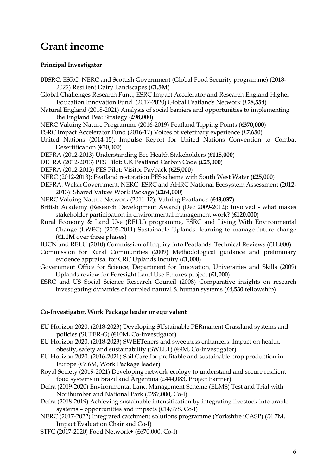# **Grant income**

#### **Principal Investigator**

- BBSRC, ESRC, NERC and Scottish Government (Global Food Security programme) (2018- 2022) Resilient Dairy Landscapes (**£1.5M**)
- Global Challenges Research Fund, ESRC Impact Accelerator and Research England Higher Education Innovation Fund. (2017-2020) Global Peatlands Network (**£78,554**)
- Natural England (2018-2021) Analysis of social barriers and opportunities to implementing the England Peat Strategy (**£98,000**)
- NERC Valuing Nature Programme (2016-2019) Peatland Tipping Points (**£370,000**)
- ESRC Impact Accelerator Fund (2016-17) Voices of veterinary experience (**£7,650**)
- United Nations (2014-15): Impulse Report for United Nations Convention to Combat Desertification (**€30,000**)
- DEFRA (2012-2013) Understanding Bee Health Stakeholders (**£115,000**)
- DEFRA (2012-2013) PES Pilot: UK Peatland Carbon Code (**£25,000**)
- DEFRA (2012-2013) PES Pilot: Visitor Payback (**£25,000**)
- NERC (2012-2013): Peatland restoration PES scheme with South West Water (**£25,000**)
- DEFRA, Welsh Government, NERC, ESRC and AHRC National Ecosystem Assessment (2012- 2013): Shared Values Work Package (**£264,000**)
- NERC Valuing Nature Network (2011-12): Valuing Peatlands (**£43,037**)
- British Academy (Research Development Award) (Dec 2009-2012): Involved what makes stakeholder participation in environmental management work? (**£120,000**)
- Rural Economy & Land Use (RELU) programme, ESRC and Living With Environmental Change (LWEC) (2005-2011) Sustainable Uplands: learning to manage future change (**£1.1M** over three phases)
- IUCN and RELU (2010) Commission of Inquiry into Peatlands: Technical Reviews (£11,000)
- Commission for Rural Communities (2009) Methodological guidance and preliminary evidence appraisal for CRC Uplands Inquiry (**£1,000**)
- Government Office for Science, Department for Innovation, Universities and Skills (2009) Uplands review for Foresight Land Use Futures project (**£1,000**)
- ESRC and US Social Science Research Council (2008) Comparative insights on research investigating dynamics of coupled natural & human systems (**£4,530** fellowship)

#### **Co-Investigator, Work Package leader or equivalent**

- EU Horizon 2020. (2018-2023) Developing SUstainable PERmanent Grassland systems and policies (SUPER-G) (€10M, Co-Investigator)
- EU Horizon 2020. (2018-2023) SWEETeners and sweetness enhancers: Impact on health, obesity, safety and sustainability (SWEET) (€9M, Co-Investigator)
- EU Horizon 2020. (2016-2021) Soil Care for profitable and sustainable crop production in Europe (€7.6M, Work Package leader)
- Royal Society (2019-2021) Developing network ecology to understand and secure resilient food systems in Brazil and Argentina (£444,083, Project Partner)
- Defra (2019-2020) Environmental Land Management Scheme (ELMS) Test and Trial with Northumberland National Park (£287,000, Co-I)
- Defra (2018-2019) Achieving sustainable intensification by integrating livestock into arable systems – opportunities and impacts (£14,978, Co-I)
- NERC (2017-2022) Integrated catchment solutions programme (Yorkshire iCASP) (£4.7M, Impact Evaluation Chair and Co-I)
- STFC (2017-2020) Food Network+ (£670,000, Co-I)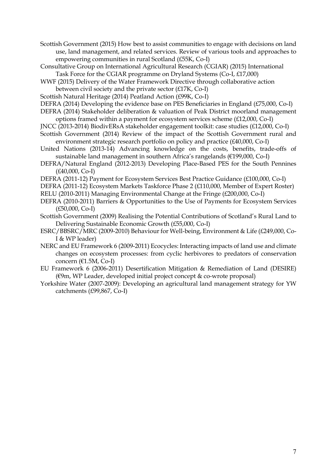Scottish Government (2015) How best to assist communities to engage with decisions on land use, land management, and related services. Review of various tools and approaches to empowering communities in rural Scotland (£55K, Co-I)

- Consultative Group on International Agricultural Research (CGIAR) (2015) International Task Force for the CGIAR programme on Dryland Systems (Co-I, £17,000)
- WWF (2015) Delivery of the Water Framework Directive through collaborative action between civil society and the private sector (£17K, Co-I)
- Scottish Natural Heritage (2014) Peatland Action (£99K, Co-I)

DEFRA (2014) Developing the evidence base on PES Beneficiaries in England (£75,000, Co-I)

- DEFRA (2014) Stakeholder deliberation & valuation of Peak District moorland management options framed within a payment for ecosystem services scheme (£12,000, Co-I)
- JNCC (2013-2014) BiodivERsA stakeholder engagement toolkit: case studies (£12,000, Co-I)
- Scottish Government (2014) Review of the impact of the Scottish Government rural and environment strategic research portfolio on policy and practice (£40,000, Co-I)
- United Nations (2013-14) Advancing knowledge on the costs, benefits, trade-offs of sustainable land management in southern Africa's rangelands (€199,000, Co-I)
- DEFRA/Natural England (2012-2013) Developing Place-Based PES for the South Pennines (£40,000, Co-I)
- DEFRA (2011-12) Payment for Ecosystem Services Best Practice Guidance (£100,000, Co-I)
- DEFRA (2011-12) Ecosystem Markets Taskforce Phase 2 (£110,000, Member of Expert Roster)

RELU (2010-2011) Managing Environmental Change at the Fringe (£200,000, Co-I)

- DEFRA (2010-2011) Barriers & Opportunities to the Use of Payments for Ecosystem Services (£50,000, Co-I)
- Scottish Government (2009) Realising the Potential Contributions of Scotland's Rural Land to Delivering Sustainable Economic Growth (£55,000, Co-I)
- ESRC/BBSRC/MRC (2009-2010) Behaviour for Well-being, Environment & Life (£249,000, Co-I & WP leader)
- NERC and EU Framework 6 (2009-2011) Ecocycles: Interacting impacts of land use and climate changes on ecosystem processes: from cyclic herbivores to predators of conservation concern (€1.5M, Co-I)
- EU Framework 6 (2006-2011) Desertification Mitigation & Remediation of Land (DESIRE) (€9m, WP Leader, developed initial project concept & co-wrote proposal)
- Yorkshire Water (2007-2009): Developing an agricultural land management strategy for YW catchments (£99,867, Co-I)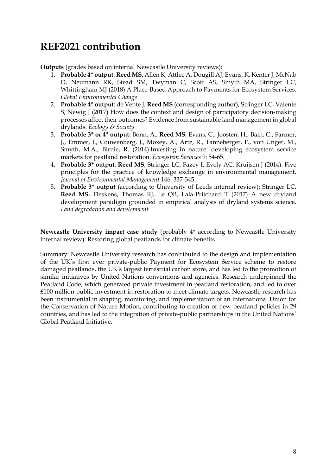# **REF2021 contribution**

**Outputs** (grades based on internal Newcastle University reviews):

- 1. **Probable 4\* output**: **Reed MS,** Allen K, Attlee A, Dougill AJ, Evans, K, KenterJ, McNab D, Neumann RK, Stead SM, Twyman C, Scott AS, Smyth MA, Stringer LC, Whittingham MJ (2018) A Place-Based Approach to Payments for Ecosystem Services. *Global Environmental Change*
- 2. **Probable 4\* output**: de Vente J, **Reed MS** (corresponding author), Stringer LC, Valente S, Newig J (2017) How does the context and design of participatory decision-making processes affect their outcomes? Evidence from sustainable land management in global drylands. *Ecology & Society*
- 3. **Probable 3\* or 4\* output:** Bonn, A., **Reed MS**, Evans, C., Joosten, H., Bain, C., Farmer, J., Emmer, I., Couwenberg, J., Moxey, A., Artz, R., Tanneberger, F., von Unger, M., Smyth, M.A., Birnie, R. (2014) Investing in nature: developing ecosystem service markets for peatland restoration. *Ecosystem Services* 9: 54-65.
- 4. **Probable 3\* output**: **Reed MS**, Stringer LC, Fazey I, Evely AC, Kruijsen J (2014). Five principles for the practice of knowledge exchange in environmental management. *Journal of Environmental Management* 146: 337-345.
- 5. **Probable 3\* output** (according to University of Leeds internal review): Stringer LC, **Reed MS**, Fleskens, Thomas RJ, Le QB, Lala-Pritchard T (2017) A new dryland development paradigm grounded in empirical analysis of dryland systems science. *Land degradation and development*

**Newcastle University impact case study** (probably 4\* according to Newcastle University internal review): Restoring global peatlands for climate benefits

Summary: Newcastle University research has contributed to the design and implementation of the UK's first ever private-public Payment for Ecosystem Service scheme to restore damaged peatlands, the UK's largest terrestrial carbon store, and has led to the promotion of similar initiatives by United Nations conventions and agencies. Research underpinned the Peatland Code, which generated private investment in peatland restoration, and led to over £100 million public investment in restoration to meet climate targets. Newcastle research has been instrumental in shaping, monitoring, and implementation of an International Union for the Conservation of Nature Motion, contributing to creation of new peatland policies in 29 countries, and has led to the integration of private-public partnerships in the United Nations' Global Peatland Initiative.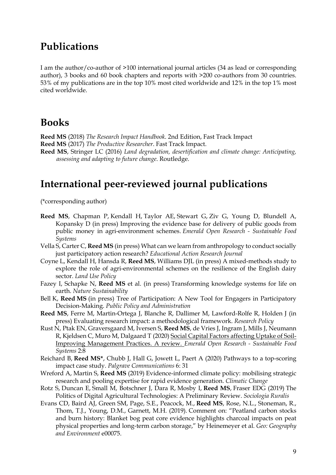### **Publications**

I am the author/co-author of >100 international journal articles (34 as lead or corresponding author), 3 books and 60 book chapters and reports with >200 co-authors from 30 countries. 53% of my publications are in the top 10% most cited worldwide and 12% in the top 1% most cited worldwide.

### **Books**

**Reed MS** (2018) *The Research Impact Handbook*. 2nd Edition, Fast Track Impact **Reed MS** (2017) *The Productive Researcher*. Fast Track Impact. **Reed MS**, Stringer LC (2016) *Land degradation, desertification and climate change: Anticipating, assessing and adapting to future change*. Routledge.

# **International peer-reviewed journal publications**

(\*corresponding author)

- **Reed MS**, Chapman P, Kendall H, Taylor AE, Stewart G, Ziv G, Young D, Blundell A, Kopansky D (in press) Improving the evidence base for delivery of public goods from public money in agri-environment schemes. *Emerald Open Research - Sustainable Food Systems*
- Vella S, Carter C, **Reed MS** (in press) What can we learn from anthropology to conduct socially just participatory action research? *Educational Action Research Journal*
- Coyne L, Kendall H, Hansda R, **Reed MS**, Williams DJL (in press) A mixed-methods study to explore the role of agri-environmental schemes on the resilience of the English dairy sector. *Land Use Policy*
- Fazey I, Schapke N, **Reed MS** et al. (in press) Transforming knowledge systems for life on earth. *Nature Sustainability*
- Bell K, **Reed MS** (in press) Tree of Participation: A New Tool for Engagers in Participatory Decision-Making. *Public Policy and Administration*
- **Reed MS**, Ferre M, Martin-Ortega J, Blanche R, Dallimer M, Lawford-Rolfe R, Holden J (in press) Evaluating research impact: a methodological framework. *Research Policy*
- Rust N, Ptak EN, Graversgaard M, Iversen S, **Reed MS**, de Vries J, Ingram J, Mills J, Neumann R, Kjeldsen C, Muro M, Dalgaard T (2020) Social Capital Factors affecting Uptake of Soil-Improving Management Practices. A review. *Emerald Open Research - Sustainable Food Systems* 2:8
- Reichard B, **Reed MS\***, Chubb J, Hall G, Jowett L, Paert A (2020) Pathways to a top-scoring impact case study. *Palgrave Communications* 6: 31
- Wreford A, Martin S, **Reed MS** (2019) Evidence-informed climate policy: mobilising strategic research and pooling expertise for rapid evidence generation. *Climatic Change*
- Rotz S, Duncan E, Small M, Botschner J, Dara R, Mosby I, **Reed MS**, Fraser EDG (2019) The Politics of Digital Agricultural Technologies: A Preliminary Review. *Sociologia Ruralis*
- Evans CD, Baird AJ, Green SM, Page, S.E., Peacock, M., **Reed MS**, Rose, N.L., Stoneman, R., Thom, T.J., Young, D.M., Garnett, M.H. (2019). Comment on: "Peatland carbon stocks and burn history: Blanket bog peat core evidence highlights charcoal impacts on peat physical properties and long-term carbon storage," by Heinemeyer et al. *Geo: Geography and Environment* e00075.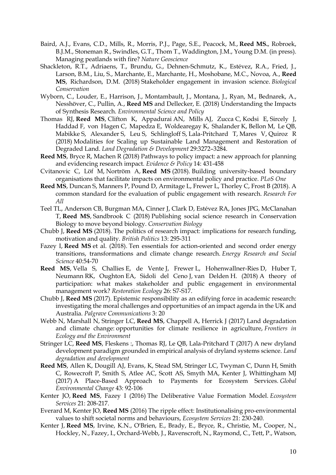- Baird, A.J., Evans, C.D., Mills, R., Morris, P.J., Page, S.E., Peacock, M., **Reed MS.**, Robroek, B.J.M., Stoneman R., Swindles, G.T., Thom T., Waddington, J.M., Young D.M. (in press). Managing peatlands with fire? *Nature Geoscience*
- Shackleton, R.T., Adriaens, T., Brundu, G., Dehnen-Schmutz, K., Estévez, R.A., Fried, J., Larson, B.M., Liu, S., Marchante, E., Marchante, H., Moshobane, M.C., Novoa, A., **Reed MS**, Richardson, D.M. (2018) Stakeholder engagement in invasion science. *Biological Conservation*
- Wyborn, C., Louder, E., Harrison, J., Montambault, J., Montana, J., Ryan, M., Bednarek, A., Nesshöver, C., Pullin, A., **Reed MS** and Dellecker, E. (2018) Understanding the Impacts of Synthesis Research. *Environmental Science and Policy*
- Thomas RJ, **Reed MS**, Clifton K, Appadurai AN, Mills AJ, Zucca C, Kodsi E, Sircely J, Haddad F, von Hagen C, Mapedza E, Woldearegay K, Shalander K, Bellon M, Le QB, Mabikke S, Alexander S, Leu S, Schlingloff S, Lala-Pritchard T, Mares V, Quiroz R (2018) Modalities for Scaling up Sustainable Land Management and Restoration of Degraded Land. *Land Degradation & Development* 29:3272–3284.
- **Reed MS**, Bryce R, Machen R (2018) Pathways to policy impact: a new approach for planning and evidencing research impact. *Evidence & Policy* 14: 431-458
- Cvitanovic C, Löf M, Nortröm A, **Reed MS** (2018). Building university-based boundary organisations that facilitate impacts on environmental policy and practice. *PLoS One*
- **Reed MS**, Duncan S, Manners P, Pound D, Armitage L, Frewer L, Thorley C, Frost B (2018). A common standard for the evaluation of public engagement with research. *Research For All*
- Teel TL, Anderson CB, Burgman MA, Cinner J, Clark D, Estévez RA, Jones JPG, McClanahan T, **Reed MS**, Sandbrook C (2018) Publishing social science research in Conservation Biology to move beyond biology. *Conservation Biology*
- Chubb J, **Reed MS** (2018). The politics of research impact: implications for research funding, motivation and quality. *British Politics* 13: 295-311
- Fazey I, **Reed MS** et al. (2018). Ten essentials for action-oriented and second order energy transitions, transformations and climate change research. *Energy Research and Social Science* 40:54-70
- **Reed MS**, Vella S, Challies E, de Vente J, Frewer L, Hohenwallner-Ries D, Huber T, Neumann RK, Oughton EA, Sidoli del Ceno J, van Delden H. (2018) A theory of participation: what makes stakeholder and public engagement in environmental management work? *Restoration Ecology* 26: S7-S17.
- Chubb J, **Reed MS** (2017). Epistemic responsibility as an edifying force in academic research: investigating the moral challenges and opportunities of an impact agenda in the UK and Australia. *Palgrave Communications* 3: 20
- Webb N, Marshall N, Stringer LC, **Reed MS**, Chappell A, Herrick J (2017) Land degradation and climate change: opportunities for climate resilience in agriculture, *Frontiers in Ecology and the Environment*
- Stringer LC, **Reed MS**, Fleskens :, Thomas RJ, Le QB, Lala-Pritchard T (2017) A new dryland development paradigm grounded in empirical analysis of dryland systems science. *Land degradation and development*
- **Reed MS**, Allen K, Dougill AJ, Evans, K, Stead SM, Stringer LC, Twyman C, Dunn H, Smith C, Rowecroft P, Smith S, Atlee AC, Scott AS, Smyth MA, Kenter J, Whittingham MJ (2017) A Place-Based Approach to Payments for Ecosystem Services. *Global Environmental Change* 43: 92-106
- Kenter JO, **Reed MS**, Fazey I (2016) The Deliberative Value Formation Model. *Ecosystem Services* 21: 208-217.
- Everard M, Kenter JO, **Reed MS** (2016) The ripple effect: Institutionalising pro-environmental values to shift societal norms and behaviours, *Ecosystem Services* 21: 230-240.
- Kenter J, **Reed MS**, Irvine, K.N., O'Brien, E., Brady, E., Bryce, R., Christie, M., Cooper, N., Hockley, N., Fazey, I., Orchard-Webb, J., Ravenscroft, N., Raymond, C., Tett, P., Watson,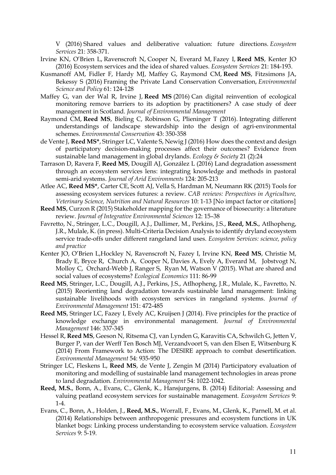V (2016) Shared values and deliberative valuation: future directions. *Ecosystem Services* 21: 358-371.

- Irvine KN, O'Brien L, Ravenscroft N, Cooper N, Everard M, Fazey I, **Reed MS**, Kenter JO (2016) Ecosystem services and the idea of shared values. *Ecosystem Services* 21: 184-193.
- Kusmanoff AM, Fidler F, Hardy MJ, Maffey G, Raymond CM, **Reed MS**, Fitzsimons JA, Bekessy S (2016) Framing the Private Land Conservation Conversation, *Environmental Science and Policy* 61: 124-128
- Maffey G, van der Wal R, Irvine J, **Reed MS** (2016) Can digital reinvention of ecological monitoring remove barriers to its adoption by practitioners? A case study of deer management in Scotland. *Journal of Environmental Management*
- Raymond CM, **Reed MS**, Bieling C, Robinson G, Plieninger T (2016). Integrating different understandings of landscape stewardship into the design of agri-environmental schemes. *Environmental Conservation* 43: 350-358
- de Vente J, **Reed MS\***, Stringer LC, Valente S, Newig J (2016) How does the context and design of participatory decision-making processes affect their outcomes? Evidence from sustainable land management in global drylands. *Ecology & Society* 21 (2):24
- Tarrason D, Ravera F, **Reed MS**, Dougill AJ, González L (2016) Land degradation assessment through an ecosystem services lens: integrating knowledge and methods in pastoral semi-arid systems. *Journal of Arid Environments* 124: 205-213
- Atlee AC, **Reed MS\***, Carter CE, Scott AJ, Vella S, Hardman M, Neumann RK (2015) Tools for assessing ecosystem services futures: a review. *CAB reviews: Perspectives in Agriculture, Veterinary Science, Nutrition and Natural Resources* 10: 1-13 [No impact factor or citations]
- **Reed MS**, Curzon R (2015) Stakeholder mapping for the governance of biosecurity: a literature review. *Journal of Integrative Environmental Sciences* 12: 15–38
- Favretto, N., Stringer, L.C., Dougill, A.J., Dallimer, M., Perkins, J.S., **Reed, M.S.**, Atlhopheng, J.R., Mulale, K. (in press). Multi-Criteria Decision Analysis to identify dryland ecosystem service trade-offs under different rangeland land uses. *Ecosystem Services: science, policy and practice*
- Kenter JO, O'Brien L,Hockley N, Ravenscroft N, Fazey I, Irvine KN, **Reed MS**, Christie M, Brady E, Bryce R, Church A, Cooper N, Davies A, Evely A, Everard M, Jobstvogt N, Molloy C, Orchard-Webb J, Ranger S, Ryan M, Watson V (2015). What are shared and social values of ecosystems? *Ecological Economics* 111: 86-99
- **Reed MS**, Stringer, L.C., Dougill, A.J., Perkins, J.S., Atlhopheng, J.R., Mulale, K., Favretto, N. (2015) Reorienting land degradation towards sustainable land management: linking sustainable livelihoods with ecosystem services in rangeland systems. *Journal of Environmental Management* 151: 472-485
- **Reed MS**, Stringer LC, Fazey I, Evely AC, Kruijsen J (2014). Five principles for the practice of knowledge exchange in environmental management. *Journal of Environmental Management* 146: 337-345
- Hessel R, **Reed MS**, Geeson N, Ritsema CJ, van Lynden G, Karavitis CA, Schwilch G, Jetten V, Burger P, van der Werff Ten Bosch MJ, Verzandvoort S, van den Elsen E, Witsenburg K (2014) From Framework to Action: The DESIRE approach to combat desertification. *Environmental Management* 54: 935-950
- Stringer LC, Fleskens L, **Reed MS**, de Vente J, Zengin M (2014) Participatory evaluation of monitoring and modelling of sustainable land management technologies in areas prone to land degradation. *Environmental Management* 54: 1022-1042.
- **Reed, M.S.**, Bonn, A., Evans, C., Glenk, K., Hansjurgens, B. (2014) Editorial: Assessing and valuing peatland ecosystem services for sustainable management. *Ecosystem Services* 9: 1-4.
- Evans, C., Bonn, A., Holden, J., **Reed, M.S.**, Worrall, F., Evans, M., Glenk, K., Parnell, M. et al. (2014) Relationships between anthropogenic pressures and ecosystem functions in UK blanket bogs: Linking process understanding to ecosystem service valuation. *Ecosystem Services* 9: 5-19.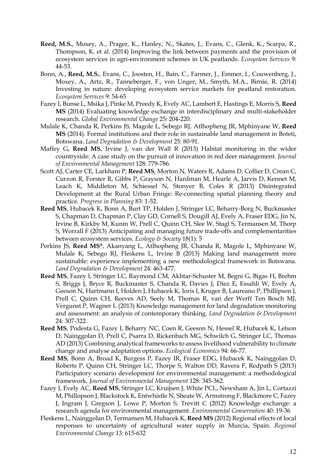- **Reed, M.S.**, Moxey, A., Prager, K., Hanley, N., Skates, J., Evans, C., Glenk, K., Scarpa, R., Thompson, K. et al. (2014) Improving the link between payments and the provision of ecosystem services in agri-environment schemes in UK peatlands. *Ecosystem Services* 9: 44-53.
- Bonn, A., **Reed, M.S.**, Evans, C., Joosten, H., Bain, C., Farmer, J., Emmer, I., Couwenberg, J., Moxey, A., Artz, R., Tanneberger, F., von Unger, M., Smyth, M.A., Birnie, R. (2014) Investing in nature: developing ecosystem service markets for peatland restoration. *Ecosystem Services* 9: 54-65
- Fazey I, Bunse L, Msika J, Pinke M, Preedy K, Evely AC, Lambert E, Hastings E, Morris S, **Reed MS** (2014) Evaluating knowledge exchange in interdisciplinary and multi-stakeholder research. *Global Environmental Change* 25: 204-220.
- Mulale K, Chanda R, Perkins JS, Magole L, Sebego RJ, Atlhopheng JR, Mphinyane W, **Reed MS** (2014). Formal institutions and their role in sustainable land management in Boteti, Botswana. *Land Degradation & Development* 25: 80-91.
- Maffey G, **Reed MS**, Irvine J, van der Wall R (2013) Habitat monitoring in the wider countryside: A case study on the pursuit of innovation in red deer management. *Journal of Environmental Management* 128: 779-786.
- Scott AJ, Carter CE, Larkham P, **Reed MS**, Morton N, Waters R, Adams D, Collier D, Crean C, Curzon R, Forster R, Gibbs P, Grayson N, Hardman M, Hearle A, Jarvis D, Kennet M, Leach K, Middleton M, Schiessel N, Stonyer B, Coles R (2013) Disintegrated Development at the Rural Urban Fringe: Re-connecting spatial planning theory and practice. *Progress in Planning* 83: 1-52.
- **Reed MS**, Hubacek K, Bonn A, Burt TP, Holden J, Stringer LC, Beharry-Borg N, Buckmaster S, Chapman D, Chapman P, Clay GD, Cornell S, Dougill AJ, Evely A, Fraser EDG, Jin N, Irvine B, Kirkby M, Kunin W, Prell C, Quinn CH, Slee W, Stagl S, Termansen M, Thorp S, Worrall F (2013) Anticipating and managing future trade-offs and complementarities between ecosystem services. *Ecology & Society* 18(1): 5
- Perkins JS, **Reed MS\***, Akanyang L, Atlhopheng JR, Chanda R, Magole L, Mphinyane W, Mulale K, Sebego RJ, Fleskens L, Irvine B (2013) Making land management more sustainable: experience implementing a new methodological framework in Botswana. *Land Degradation & Development* 24: 463-477.
- **Reed MS**, Fazey I, Stringer LC, Raymond CM, Akhtar-Schuster M, Begni G, Bigas H, Brehm S, Briggs J, Bryce R, Buckmaster S, Chanda R, Davies J, Diez E, Essahli W, Evely A, Geeson N, Hartmann I, Holden J, Hubacek K, Ioris I, Kruger B, Laureano P, Phillipson J, Prell C, Quinn CH, Reeves AD, Seely M, Thomas R, van der Werff Ten Bosch MJ, Vergunst P, Wagner L (2013) Knowledge management for land degradation monitoring and assessment: an analysis of contemporary thinking. *Land Degradation & Development*  24: 307-322.
- **Reed MS**, Podesta G, Fazey I, Beharry NC, Coen R, Geeson N, Hessel R, Hubacek K, Letson D, Nainggolan D, Prell C, Psarra D, Rickenbach MG, Schwilch G, Stringer LC, Thomas AD (2013) Combining analytical frameworks to assess livelihood vulnerability to climate change and analyse adaptation options. *Ecological Economics* 94: 66-77.
- **Reed MS**, Bonn A, Broad K, Burgess P, Fazey IR, Fraser EDG, Hubacek K, Nainggolan D, Roberts P, Quinn CH, Stringer LC, Thorpe S, Walton DD, Ravera F, Redpath S (2013) Participatory scenario development for environmental management: a methodological framework. *Journal of Environmental Management* 128: 345-362.
- Fazey I, Evely AC, **Reed MS**, Stringer LC, Kruijsen J, White PCL, Newsham A, Jin L, Cortazzi M, Phillopson J, Blackstock K, Entwhistle N, Sheate W, Armstrong F, Blackmore C, Fazey J, Ingram J, Gregson J, Lowe P, Morton S, Trevitt C (2012) Knowledge exchange: a research agenda for environmental management. *Environmental Conservation* 40: 19-36
- Fleskens L, Nainggolan D, Termansen M, Hubacek K, **Reed MS** (2012) Regional effects of local responses to uncertainty of agricultural water supply in Murcia, Spain. *Regional Environmental Change* 13: 615-632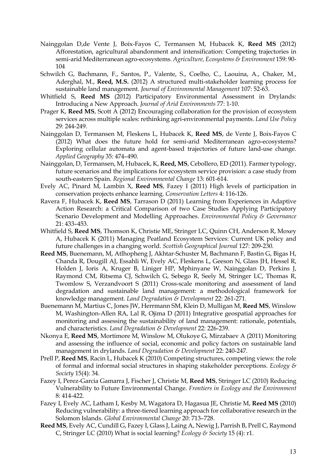- Nainggolan D,de Vente J, Boix-Fayos C, Termansen M, Hubacek K, **Reed MS** (2012) Afforestation, agricultural abandonment and intensification: Competing trajectories in semi-arid Mediterranean agro-ecosystems. *Agriculture, Ecosystems & Environment* 159: 90- 104
- Schwilch G, Bachmann, F., Santos, P., Valente, S., Coelho, C., Laouina, A., Chaker, M., Aderghal, M., **Reed, M.S.** (2012) A structured multi-stakeholder learning process for sustainable land management. *Journal of Environmental Management* 107: 52-63.
- Whitfield S, **Reed MS** (2012) Participatory Environmental Assessment in Drylands: Introducing a New Approach. *Journal of Arid Environments* 77: 1-10.
- Prager K, **Reed MS**, Scott A (2012) Encouraging collaboration for the provision of ecosystem services across multiple scales: rethinking agri-environmental payments. *Land Use Policy*  29: 244-249.
- Nainggolan D, Termansen M, Fleskens L, Hubacek K, **Reed MS**, de Vente J, Boix-Fayos C (2012) What does the future hold for semi-arid Mediterranean agro-ecosystems? Exploring cellular automata and agent-based trajectories of future land-use change. *Applied Geography* 35: 474–490.
- Nainggolan, D, Termansen, M, Hubacek, K, **Reed, MS**, Cebollero, ED (2011). Farmer typology, future scenarios and the implications for ecosystem service provision: a case study from south-eastern Spain. *Regional Environmental Change* 13: 601-614.
- Evely AC, Pinard M, Lambin X, **Reed MS**, Fazey I (2011) High levels of participation in conservation projects enhance learning. *Conservation Letters* 4: 116-126.
- Ravera F, Hubacek K, **Reed MS**, Tarrason D (2011) Learning from Experiences in Adaptive Action Research: a Critical Comparison of two Case Studies Applying Participatory Scenario Development and Modelling Approaches. *Environmental Policy & Governance* 21: 433–453.
- Whitfield S, **Reed MS**, Thomson K, Christie ME, Stringer LC, Quinn CH, Anderson R, Moxey A, Hubacek K (2011) Managing Peatland Ecosystem Services: Current UK policy and future challenges in a changing world. *Scottish Geographical Journal* 127: 209-230.
- **Reed MS**, Buenemann, M, Atlhopheng J, Akhtar-Schuster M, Bachmann F, Bastin G, Bigas H, Chanda R, Dougill AJ, Essahli W, Evely AC, Fleskens L, Geeson N, Glass JH, Hessel R, Holden J, Ioris A, Kruger B, Liniger HP, Mphinyane W, Nainggolan D, Perkins J, Raymond CM, Ritsema CJ, Schwilch G, Sebego R, Seely M, Stringer LC, Thomas R, Twomlow S, Verzandvoort S (2011) Cross-scale monitoring and assessment of land degradation and sustainable land management: a methodological framework for knowledge management. *Land Degradation & Development* 22: 261-271.
- Buenemann M, Martius C, Jones JW, Herrmann SM, Klein D, Mulligan M, **Reed MS**, Winslow M, Washington-Allen RA, Lal R, Ojima D (2011) Integrative geospatial approaches for monitoring and assessing the sustainability of land management: rationale, potentials, and characteristics. *Land Degradation & Development* 22: 226-239.
- Nkonya E, **Reed MS**, Mortimore M, Winslow M, Olukoye G, Mirzabaev A (2011) Monitoring and assessing the influence of social, economic and policy factors on sustainable land management in drylands. *Land Degradation & Development* 22: 240-247.
- Prell P, **Reed MS**, Racin L, Hubacek K (2010) Competing structures, competing views: the role of formal and informal social structures in shaping stakeholder perceptions. *Ecology & Society* 15(4): 34.
- Fazey I, Perez-Garcia Gamarra J, Fischer J, Christie M, **Reed MS**, Stringer LC (2010) Reducing Vulnerability to Future Environmental Change. *Frontiers in Ecology and the Environment*  8: 414-422.
- Fazey I, Evely AC, Latham I, Kesby M, Wagatora D, Hagasua JE, Christie M, **Reed MS** (2010) Reducing vulnerability: a three-tiered learning approach for collaborative research in the Solomon Islands. *Global Environmental Change* 20: 713–728.
- **Reed MS**, Evely AC, Cundill G, Fazey I, Glass J, Laing A, Newig J, Parrish B, Prell C, Raymond C, Stringer LC (2010) What is social learning? *Ecology & Society* 15 (4): r1.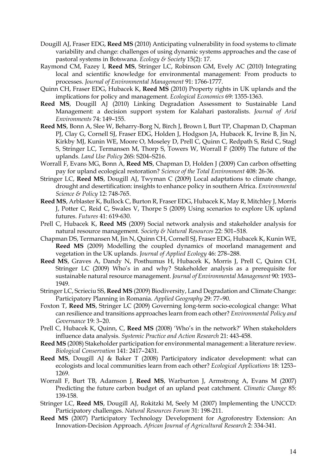- Dougill AJ, Fraser EDG, **Reed MS** (2010) Anticipating vulnerability in food systems to climate variability and change: challenges of using dynamic systems approaches and the case of pastoral systems in Botswana. *Ecology & Society* 15(2): 17.
- Raymond CM, Fazey I, **Reed MS**, Stringer LC, Robinson GM, Evely AC (2010) Integrating local and scientific knowledge for environmental management: From products to processes. *Journal of Environmental Management* 91: 1766-1777.
- Quinn CH, Fraser EDG, Hubacek K, **Reed MS** (2010) Property rights in UK uplands and the implications for policy and management. *Ecological Economics* 69: 1355-1363.
- **Reed MS**, Dougill AJ (2010) Linking Degradation Assessment to Sustainable Land Management: a decision support system for Kalahari pastoralists. *Journal of Arid Environments* 74: 149–155.
- **Reed MS**, Bonn A, Slee W, Beharry-Borg N, Birch J, Brown I, Burt TP, Chapman D, Chapman PJ, Clay G, Cornell SJ, Fraser EDG, Holden J, Hodgson JA, Hubacek K, Irvine B, Jin N, Kirkby MJ, Kunin WE, Moore O, Moseley D, Prell C, Quinn C, Redpath S, Reid C, Stagl S, Stringer LC, Termansen M, Thorp S, Towers W, Worrall F (2009) The future of the uplands. *Land Use Policy* 26S: S204–S216.
- Worrall F, Evans MG, Bonn A, **Reed MS**, Chapman D, Holden J (2009) Can carbon offsetting pay for upland ecological restoration? *Science of the Total Environment* 408: 26-36.
- Stringer LC, **Reed MS**, Dougill AJ, Twyman C (2009) Local adaptations to climate change, drought and desertification: insights to enhance policy in southern Africa. *Environmental Science & Policy* 12: 748-765.
- **Reed MS**, Arblaster K, Bullock C, Burton R, Fraser EDG, Hubacek K, May R, Mitchley J, Morris J, Potter C, Reid C, Swales V, Thorpe S (2009) Using scenarios to explore UK upland futures. *Futures* 41: 619-630.
- Prell C, Hubacek K, **Reed MS** (2009) Social network analysis and stakeholder analysis for natural resource management. *Society & Natural Resources* 22: 501–518.
- Chapman DS, Termansen M, Jin N, Quinn CH, Cornell SJ, Fraser EDG, Hubacek K, Kunin WE, **Reed MS** (2009) Modelling the coupled dynamics of moorland management and vegetation in the UK uplands. *Journal of Applied Ecology* 46: 278–288.
- **Reed MS**, Graves A, Dandy N, Posthumus H, Hubacek K, Morris J, Prell C, Quinn CH, Stringer LC (2009) Who's in and why? Stakeholder analysis as a prerequisite for sustainable natural resource management. *Journal of Environmental Management* 90: 1933– 1949.
- Stringer LC, Scrieciu SS, **Reed MS** (2009) Biodiversity, Land Degradation and Climate Change: Participatory Planning in Romania. *Applied Geography* 29: 77–90.
- Foxton T, **Reed MS**, Stringer LC (2009) Governing long-term socio-ecological change: What can resilience and transitions approaches learn from each other? *Environmental Policy and Governance* 19: 3–20.
- Prell C, Hubacek K, Quinn, C, **Reed MS** (2008) 'Who's in the network?' When stakeholders influence data analysis. *Systemic Practice and Action Research* 21: 443-458.
- **Reed MS** (2008) Stakeholder participation for environmental management: a literature review. *Biological Conservation* 141: 2417–2431.
- **Reed MS**, Dougill AJ & Baker T (2008) Participatory indicator development: what can ecologists and local communities learn from each other? *Ecological Applications* 18: 1253– 1269.
- Worrall F, Burt TB, Adamson J, **Reed MS**, Warburton J, Armstrong A, Evans M (2007) Predicting the future carbon budget of an upland peat catchment. *Climatic Change* 85: 139-158.
- Stringer LC, **Reed MS**, Dougill AJ, Rokitzki M, Seely M (2007) Implementing the UNCCD: Participatory challenges. *Natural Resources Forum* 31: 198-211.
- **Reed MS** (2007) Participatory Technology Development for Agroforestry Extension: An Innovation-Decision Approach. *African Journal of Agricultural Research* 2: 334-341.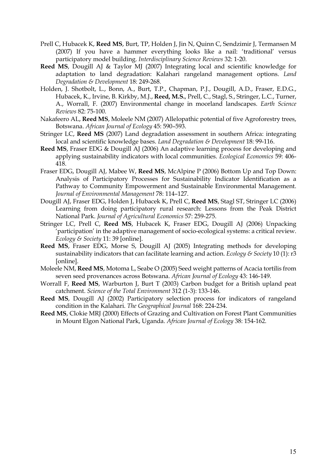- Prell C, Hubacek K, **Reed MS**, Burt, TP, Holden J, Jin N, Quinn C, Sendzimir J, Termansen M (2007) If you have a hammer everything looks like a nail: 'traditional' versus participatory model building. *Interdisciplinary Science Reviews* 32: 1-20.
- **Reed MS**, Dougill AJ & Taylor MJ (2007) Integrating local and scientific knowledge for adaptation to land degradation: Kalahari rangeland management options. *Land Degradation & Development* 18: 249-268.
- Holden, J. Shotbolt, L., Bonn, A., Burt, T.P., Chapman, P.J., Dougill, A.D., Fraser, E.D.G., Hubacek, K., Irvine, B. Kirkby, M.J., **Reed, M.S.**, Prell, C., Stagl, S., Stringer, L.C., Turner, A., Worrall, F. (2007) Environmental change in moorland landscapes. *Earth Science Reviews* 82: 75-100.
- Nakafeero AL, **Reed MS**, Moleele NM (2007) Allelopathic potential of five Agroforestry trees, Botswana. *African Journal of Ecology* 45: 590–593.
- Stringer LC, **Reed MS** (2007) Land degradation assessment in southern Africa: integrating local and scientific knowledge bases. *Land Degradation & Development* 18: 99-116.
- **Reed MS**, Fraser EDG & Dougill AJ (2006) An adaptive learning process for developing and applying sustainability indicators with local communities. *Ecological Economics* 59: 406- 418.
- Fraser EDG, Dougill AJ, Mabee W, **Reed MS**, McAlpine P (2006) Bottom Up and Top Down: Analysis of Participatory Processes for Sustainability Indicator Identification as a Pathway to Community Empowerment and Sustainable Environmental Management. *Journal of Environmental Management* 78: 114–127.
- Dougill AJ, Fraser EDG, Holden J, Hubacek K, Prell C, **Reed MS**, Stagl ST, Stringer LC (2006) Learning from doing participatory rural research: Lessons from the Peak District National Park. *Journal of Agricultural Economics* 57: 259-275.
- Stringer LC, Prell C, **Reed MS**, Hubacek K, Fraser EDG, Dougill AJ (2006) Unpacking 'participation' in the adaptive management of socio-ecological systems: a critical review. *Ecology & Society* 11: 39 [online].
- **Reed MS**, Fraser EDG, Morse S, Dougill AJ (2005) Integrating methods for developing sustainability indicators that can facilitate learning and action. *Ecology & Society* 10 (1): r3 [online].
- Moleele NM, **Reed MS**, Motoma L, Seabe O (2005) Seed weight patterns of Acacia tortilis from seven seed provenances across Botswana. *African Journal of Ecology* 43: 146-149.
- Worrall F, **Reed MS**, Warburton J, Burt T (2003) Carbon budget for a British upland peat catchment. *Science of the Total Environment* 312 (1-3): 133-146.
- **Reed MS**, Dougill AJ (2002) Participatory selection process for indicators of rangeland condition in the Kalahari. *The Geographical Journal* 168: 224-234.
- **Reed MS**, Clokie MRJ (2000) Effects of Grazing and Cultivation on Forest Plant Communities in Mount Elgon National Park, Uganda. *African Journal of Ecology* 38: 154-162.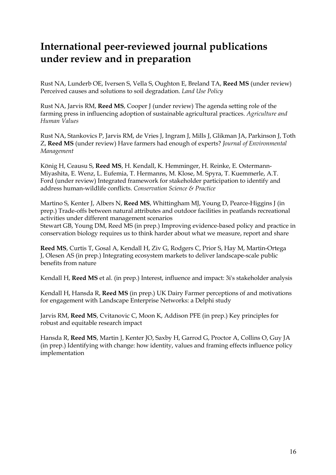# **International peer-reviewed journal publications under review and in preparation**

Rust NA, Lunderb OE, Iversen S, Vella S, Oughton E, Breland TA, **Reed MS** (under review) Perceived causes and solutions to soil degradation. *Land Use Policy*

Rust NA, Jarvis RM, **Reed MS**, Cooper J (under review) The agenda setting role of the farming press in influencing adoption of sustainable agricultural practices. *Agriculture and Human Values*

Rust NA, Stankovics P, Jarvis RM, de Vries J, Ingram J, Mills J, Glikman JA, Parkinson J, Toth Z, **Reed MS** (under review) Have farmers had enough of experts? *Journal of Environmental Management*

König H, Ceausu S, **Reed MS**, H. Kendall, K. Hemminger, H. Reinke, E. Ostermann-Miyashita, E. Wenz, L. Eufemia, T. Hermanns, M. Klose, M. Spyra, T. Kuemmerle, A.T. Ford (under review) Integrated framework for stakeholder participation to identify and address human-wildlife conflicts. *Conservation Science & Practice*

Martino S, Kenter J, Albers N, **Reed MS**, Whittingham MJ, Young D, Pearce-Higgins J (in prep.) Trade-offs between natural attributes and outdoor facilities in peatlands recreational activities under different management scenarios Stewart GB, Young DM, Reed MS (in prep.) Improving evidence-based policy and practice in conservation biology requires us to think harder about what we measure, report and share

**Reed MS**, Curtis T, Gosal A, Kendall H, Ziv G, Rodgers C, Prior S, Hay M, Martin-Ortega J, Olesen AS (in prep.) Integrating ecosystem markets to deliver landscape-scale public benefits from nature

Kendall H, **Reed MS** et al. (in prep.) Interest, influence and impact: 3i's stakeholder analysis

Kendall H, Hansda R, **Reed MS** (in prep.) UK Dairy Farmer perceptions of and motivations for engagement with Landscape Enterprise Networks: a Delphi study

Jarvis RM, **Reed MS**, Cvitanovic C, Moon K, Addison PFE (in prep.) Key principles for robust and equitable research impact

Hansda R, **Reed MS**, Martin J, Kenter JO, Saxby H, Garrod G, Proctor A, Collins O, Guy JA (in prep.) Identifying with change: how identity, values and framing effects influence policy implementation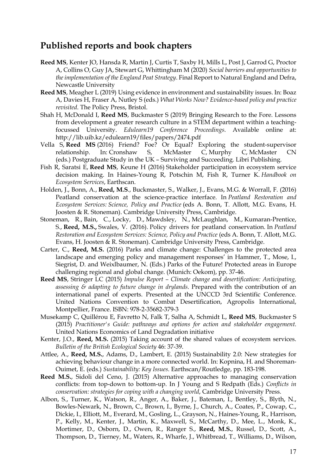### **Published reports and book chapters**

- **Reed MS**, Kenter JO, Hansda R, Martin J, Curtis T, Saxby H, Mills L, Post J, Garrod G, Proctor A, Collins O, Guy JA, Stewart G, Whittingham M (2020) *Social barriers and opportunities to the implementation of the England Peat Strategy*. Final Report to Natural England and Defra, Newcastle University
- **Reed MS**, Meagher L (2019) Using evidence in environment and sustainability issues. In: Boaz A, Davies H, Fraser A, Nutley S (eds.) *What Works Now? Evidence-based policy and practice revisited*. The Policy Press, Bristol.
- Shah H, McDonald I, **Reed MS**, Buckmaster S (2019) Bringing Research to the Fore. Lessons from development a greater research culture in a STEM department within a teachingfocussed University. *Edulearn19 Conference Proceedings*. Available online at: http://lib.uib.kz/edulearn19/files/papers/2474.pdf
- Vella S, **Reed MS** (2016) Friend? Foe? Or Equal? Exploring the student-supervisor relationship. In: Cronshaw S, McMaster C, Murphy C, McMaster CN (eds.) Postgraduate Study in the UK – Surviving and Succeeding. Libri Publishing.
- Fish R, Saratsi E, **Reed MS**, Keune H (2016) Stakeholder participation in ecosystem service decision making. In Haines-Young R, Potschin M, Fish R, Turner K. *Handbook on Ecosystem Services*, Earthscan.
- Holden, J., Bonn, A., **Reed, M.S**., Buckmaster, S., Walker, J., Evans, M.G. & Worrall, F. (2016) Peatland conservation at the science-practice interface. In *Peatland Restoration and Ecosystem Services: Science, Policy and Practice* (eds A. Bonn, T. Allott, M.G. Evans, H. Joosten & R. Stoneman). Cambridge University Press, Cambridge.
- Stoneman, R., Bain, C., Locky, D., Mawdsley, N., McLaughlan, M., Kumaran-Prentice, S., **Reed, M.S.,** Swales, V. (2016). Policy drivers for peatland conservation. In *Peatland Restoration and Ecosystem Services: Science, Policy and Practice* (eds A. Bonn, T. Allott, M.G. Evans, H. Joosten & R. Stoneman). Cambridge University Press, Cambridge.
- Carter, C., **Reed, M.S.** (2016) Parks and climate change: Challenges to the protected area landscape and emerging policy and management responses' in Hammer, T., Mose, I., Siegrist, D. and Weixlbaumer, N. (Eds.) Parks of the Future! Protected areas in Europe challenging regional and global change. (Munich: Oekom), pp. 37-46.
- **Reed MS**, Stringer LC (2015) *Impulse Report – Climate change and desertification: Anticipating, assessing & adapting to future change in drylands*. Prepared with the contribution of an international panel of experts. Presented at the UNCCD 3rd Scientific Conference. United Nations Convention to Combat Desertification, Agropolis International, Montpellier, France. ISBN: 978-2-35682-379-3
- Musekamp C, Quillérou E, Favretto N, Falk T, Salha A, Schmidt L, **Reed MS**, Buckmaster S (2015) *Practitioner's Guide: pathways and options for action and stakeholder engagement*. United Nations Economics of Land Degradation initiative
- Kenter, J.O., **Reed, M.S.** (2015) Taking account of the shared values of ecosystem services. *Bulletin of the British Ecological Society* 46: 37-39.
- Attlee, A., **Reed, M.S.**, Adams, D., Lambert, E. (2015) Sustainability 2.0: New strategies for achieving behaviour change in a more connected world. In: Kopnina, H. and Shoreman-Ouimet, E. (eds.) *Sustainability: Key Issues.* Earthscan/Routledge, pp. 183-198.
- **Reed M.S.**, Sidoli del Ceno, J. (2015) Alternative approaches to managing conservation conflicts: from top-down to bottom-up. In J Young and S Redpath (Eds.) *Conflicts in conservation: strategies for coping with a changing world*, Cambridge University Press.
- Albon, S., Turner, K., Watson, R., Anger, A., Baker, J., Bateman, I., Bentley, S., Blyth, N., Bowles-Newark, N., Brown, C., Brown, I., Byrne, J., Church, A., Coates, P., Cowap, C., Dickie, I., Elliott, M., Everard, M., Gosling, L., Grayson, N., Haines-Young, R., Harrison, P., Kelly, M., Kenter, J., Martin, K., Maxwell, S., McCarthy, D., Mee, L., Monk, K., Mortimer, D., Osborn, D., Owen, R., Ranger S., **Reed, M.S.**, Russel, D., Scott, A., Thompson, D., Tierney, M., Waters, R., Wharfe, J., Whitbread, T., Williams, D., Wilson,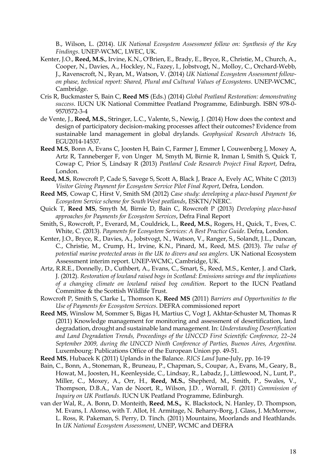B., Wilson, L. (2014). *UK National Ecosystem Assessment follow on: Synthesis of the Key Findings*. UNEP-WCMC, LWEC, UK.

- Kenter, J.O., **Reed, M.S.**, Irvine, K.N., O'Brien, E., Brady, E., Bryce, R., Christie, M., Church, A., Cooper, N., Davies, A., Hockley, N., Fazey, I., Jobstvogt, N., Molloy, C., Orchard-Webb, J., Ravenscroft, N., Ryan, M., Watson, V. (2014) *UK National Ecosystem Assessment followon phase, technical report: Shared, Plural and Cultural Values of Ecosystems*. UNEP-WCMC, Cambridge.
- Cris R, Buckmaster S, Bain C, **Reed MS** (Eds.) (2014) *Global Peatland Restoration: demonstrating success*. IUCN UK National Committee Peatland Programme, Edinburgh. ISBN 978-0- 9570572-3-4
- de Vente, J., **Reed, M.S.**, Stringer, L.C., Valente, S., Newig, J. (2014) How does the context and design of participatory decision-making processes affect their outcomes? Evidence from sustainable land management in global drylands. *Geophysical Research Abstracts* 16, EGU2014-14537.
- **Reed M.S**, Bonn A, Evans C, Joosten H, Bain C, Farmer J, Emmer I, Couwenberg J, Moxey A, Artz R, Tanneberger F, von Unger M, Smyth M, Birnie R, Inman I, Smith S, Quick T, Cowap C, Prior S, Lindsay R (2013) *Peatland Code Research Project Final Report*, Defra, London.
- **Reed, M.S**, Rowcroft P, Cade S, Savege S, Scott A, Black J, Brace A, Evely AC, White C (2013) *Visitor Giving Payment for Ecosystem Service Pilot Final Report*, Defra, London.
- **Reed MS**, Cowap C, Hirst V, Smith SM (2012) *Case study: developing a place-based Payment for Ecosystem Service scheme for South West peatlands*, ESKTN/NERC.
- Quick T, **Reed MS**, Smyth M, Birnie D, Bain C, Rowcroft P (2013) *Developing place-based approaches for Payments for Ecosystem Services*, Defra Final Report
- Smith, S., Rowcroft, P., Everard, M., Couldrick, L., **Reed, M.S.**, Rogers, H., Quick, T., Eves, C. White, C. (2013). *Payments for Ecosystem Services: A Best Practice Guide*. Defra, London.
- Kenter, J.O., Bryce, R., Davies, A., Jobstvogt, N., Watson, V., Ranger, S., Solandt, J.L., Duncan, C., Christie, M., Crump, H., Irvine, K.N., Pinard, M., Reed, M.S. (2013). *The value of potential marine protected areas in the UK to divers and sea anglers.* UK National Ecosystem Assessment interim report. UNEP-WCMC, Cambridge, UK.
- Artz, R.R.E., Donnelly, D., Cuthbert, A., Evans, C., Smart, S., Reed, M.S., Kenter, J. and Clark, J. (2012). *Restoration of lowland raised bogs in Scotland: Emissions savings and the implications of a changing climate on lowland raised bog condition.* Report to the IUCN Peatland Committee & the Scottish Wildlife Trust.
- Rowcroft P, Smith S, Clarke L, Thomson K, **Reed MS** (2011) *Barriers and Opportunities to the Use of Payments for Ecosystem Services*. DEFRA commissioned report
- **Reed MS**, Winslow M, Sommer S, Bigas H, Martius C, Vogt J, Akhtar-Schuster M, Thomas R (2011) Knowledge management for monitoring and assessment of desertification, land degradation, drought and sustainable land management. In: *Understanding Desertification and Land Degradation Trends, Proceedings of the UNCCD First Scientific Conference, 22–24 September 2009, during the UNCCD Ninth Conference of Parties, Buenos Aires, Argentina*. Luxembourg: Publications Office of the European Union pp. 49-51.
- **Reed MS**, Hubacek K (2011) Uplands in the Balance. *RICS Land* June-July, pp. 16-19
- Bain, C., Bonn, A., Stoneman, R., Bruneau, P., Chapman, S., Coupar, A., Evans, M., Geary, B., Howat, M., Joosten, H., Keenleyside, C., Lindsay, R., Labadz, J., Littlewood, N., Lunt, P., Miller, C., Moxey, A., Orr, H., **Reed, M.S.**, Shepherd, M., Smith, P., Swales, V., Thompson, D.B.A., Van de Noort, R., Wilson, J.D. , Worrall, F. (2011) *Commission of Inquiry on UK Peatlands*. IUCN UK Peatland Programme, Edinburgh.
- van der Wal, R., A. Bonn, D. Monteith, **Reed**, **M.S.,** K. Blackstock, N. Hanley, D. Thompson, M. Evans, I. Alonso, with T. Allot, H. Armitage, N. Beharry-Borg, J. Glass, J. McMorrow, L. Ross, R. Pakeman, S. Perry, D. Tinch. (2011) Mountains, Moorlands and Heathlands. In *UK National Ecosystem Assessment*, UNEP, WCMC and DEFRA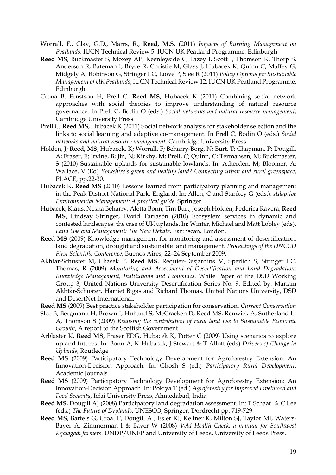- Worrall, F., Clay, G.D., Marrs, R., **Reed, M.S.** (2011) *Impacts of Burning Management on Peatlands*, IUCN Technical Review 5, IUCN UK Peatland Programme, Edinburgh
- **Reed MS**, Buckmaster S, Moxey AP, Keenleyside C, Fazey I, Scott I, Thomson K, Thorp S, Anderson R, Bateman I, Bryce R, Christie M, Glass J, Hubacek K, Quinn C, Maffey G, Midgely A, Robinson G, Stringer LC, Lowe P, Slee R (2011) *Policy Options for Sustainable Management of UK Peatlands*, IUCN Technical Review 12, IUCN UK Peatland Programme, Edinburgh
- Crona B, Ernstson H, Prell C, **Reed MS**, Hubacek K (2011) Combining social network approaches with social theories to improve understanding of natural resource governance. In Prell C, Bodin O (eds.) *Social networks and natural resource management*, Cambridge University Press.
- Prell C, **Reed MS**, Hubacek K (2011) Social network analysis for stakeholder selection and the links to social learning and adaptive co-management. In Prell C, Bodin O (eds.) *Social networks and natural resource management*, Cambridge University Press.
- Holden, J; **Reed, MS**; Hubacek, K; Worrall, F; Beharry-Borg, N; Burt, T; Chapman, P; Dougill, A; Fraser, E; Irvine, B; Jin, N; Kirkby, M; Prell, C; Quinn, C; Termansen, M; Buckmaster, S (2010) Sustainable uplands for sustainable lowlands. In: Atherden, M; Bloomer, A; Wallace, V (Ed) *Yorkshire's green and healthy land? Connecting urban and rural greenspace*, PLACE, pp.22-30.
- Hubacek K, **Reed MS** (2010) Lessons learned from participatory planning and management in the Peak District National Park, England. In: Allen, C and Stankey G (eds.). *Adaptive Environmental Management: A practical guide*. Springer.
- Hubacek, Klaus, Nesha Beharry, Aletta Bonn, Tim Burt, Joseph Holden, Federica Ravera, **Reed MS**, Lindsay Stringer, David Tarrasón (2010) Ecosystem services in dynamic and contested landscapes: the case of UK uplands. In: Winter, Michael and Matt Lobley (eds). *Land Use and Management: The New Debate,* Earthscan. London.
- **Reed MS** (2009) Knowledge management for monitoring and assessment of desertification, land degradation, drought and sustainable land management. *Proceedings of the UNCCD First Scientific Conference*, Buenos Aires, 22–24 September 2009.
- Akhtar-Schuster M, Chasek P, **Reed MS**, Requier-Desjardins M, Sperlich S, Stringer LC, Thomas, R (2009) *Monitoring and Assessment of Desertification and Land Degradation: Knowledge Management, Institutions and Economics.* White Paper of the DSD Working Group 3, United Nations University Desertification Series No. 9. Edited by: Mariam Akhtar-Schuster, Harriet Bigas and Richard Thomas. United Nations University, DSD and DesertNet International.
- **Reed MS** (2009) Best practice stakeholder participation for conservation. *Current Conservation*
- Slee B, Bergmann H, Brown I, Huband S, McCracken D, Reed MS, Renwick A, Sutherland L-A, Thomson S (2009) *Realising the contribution of rural land use to Sustainable Economic Growth*, A report to the Scottish Government.
- Arblaster K, **Reed MS**, Fraser EDG, Hubacek K, Potter C (2009) Using scenarios to explore upland futures. In: Bonn A, K Hubacek, J Stewart & T Allott (eds) *Drivers of Change in Uplands*, Routledge
- **Reed MS** (2009) Participatory Technology Development for Agroforestry Extension: An Innovation-Decision Approach. In: Ghosh S (ed.) *Participatory Rural Development*, Academic Journals
- **Reed MS** (2009) Participatory Technology Development for Agroforestry Extension: An Innovation-Decision Approach. In: Pokiya T (ed.) *Agroforestry for Improved Livelihood and Food Security*, Icfai University Press, Ahmedabad, India
- **Reed MS**, Dougill AJ (2008) Participatory land degradation assessment. In: T Schaaf & C Lee (eds.) *The Future of Drylands*, UNESCO, Springer, Dordrecht pp. 719-729
- **Reed MS**, Bartels G, Croal P, Dougill AJ, Esler KJ, Kellner K, Milton SJ, Taylor MJ, Waters-Bayer A, Zimmerman I & Bayer W (2008) *Veld Health Check: a manual for Southwest Kgalagadi farmers.* UNDP/UNEP and University of Leeds, University of Leeds Press.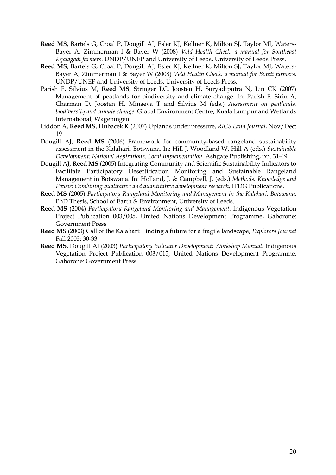- **Reed MS**, Bartels G, Croal P, Dougill AJ, Esler KJ, Kellner K, Milton SJ, Taylor MJ, Waters-Bayer A, Zimmerman I & Bayer W (2008) *Veld Health Check: a manual for Southeast Kgalagadi farmers*. UNDP/UNEP and University of Leeds, University of Leeds Press.
- **Reed MS**, Bartels G, Croal P, Dougill AJ, Esler KJ, Kellner K, Milton SJ, Taylor MJ, Waters-Bayer A, Zimmerman I & Bayer W (2008) *Veld Health Check: a manual for Boteti farmers*. UNDP/UNEP and University of Leeds, University of Leeds Press.
- Parish F, Silvius M, **Reed MS**, Stringer LC, Joosten H, Suryadiputra N, Lin CK (2007) Management of peatlands for biodiversity and climate change. In: Parish F, Sirin A, Charman D, Joosten H, Minaeva T and Silvius M (eds.) *Assessment on peatlands, biodiversity and climate change*. Global Environment Centre, Kuala Lumpur and Wetlands International, Wageningen.
- Liddon A, **Reed MS**, Hubacek K (2007) Uplands under pressure, *RICS Land Journal*, Nov/Dec: 19
- Dougill AJ, **Reed MS** (2006) Framework for community-based rangeland sustainability assessment in the Kalahari, Botswana. In: Hill J, Woodland W, Hill A (eds.) *Sustainable Development: National Aspirations, Local Implementation*. Ashgate Publishing, pp. 31-49
- Dougill AJ, **Reed MS** (2005) Integrating Community and Scientific Sustainability Indicators to Facilitate Participatory Desertification Monitoring and Sustainable Rangeland Management in Botswana. In: Holland, J. & Campbell, J. (eds.) *Methods, Knowledge and Power: Combining qualitative and quantitative development research*, ITDG Publications.
- **Reed MS** (2005) *Participatory Rangeland Monitoring and Management in the Kalahari, Botswana.* PhD Thesis, School of Earth & Environment, University of Leeds.
- **Reed MS** (2004) *Participatory Rangeland Monitoring and Management*. Indigenous Vegetation Project Publication 003/005, United Nations Development Programme, Gaborone: Government Press
- **Reed MS** (2003) Call of the Kalahari: Finding a future for a fragile landscape, *Explorers Journal*  Fall 2003: 30-33
- **Reed MS**, Dougill AJ (2003) *Participatory Indicator Development: Workshop Manual.* Indigenous Vegetation Project Publication 003/015, United Nations Development Programme, Gaborone: Government Press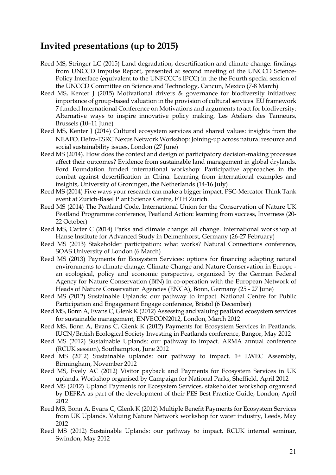### **Invited presentations (up to 2015)**

- Reed MS, Stringer LC (2015) Land degradation, desertification and climate change: findings from UNCCD Impulse Report, presented at second meeting of the UNCCD Science-Policy Interface (equivalent to the UNFCCC's IPCC) in the the Fourth special session of the UNCCD Committee on Science and Technology, Cancun, Mexico (7-8 March)
- Reed MS, Kenter J (2015) Motivational drivers & governance for biodiversity initiatives: importance of group-based valuation in the provision of cultural services. EU framework 7 funded International Conference on Motivations and arguments to act for biodiversity: Alternative ways to inspire innovative policy making, Les Ateliers des Tanneurs, Brussels (10–11 June)
- Reed MS, Kenter J (2014) Cultural ecosystem services and shared values: insights from the NEAFO. Defra-ESRC Nexus Network Workshop: Joining-up across natural resource and social sustainability issues, London (27 June)
- Reed MS (2014). How does the context and design of participatory decision-making processes affect their outcomes? Evidence from sustainable land management in global drylands. Ford Foundation funded international workshop: Participative approaches in the combat against desertification in China. Learning from international examples and insights, University of Groningen, the Netherlands (14-16 July)
- Reed MS (2014) Five ways your research can make a bigger impact. PSC-Mercator Think Tank event at Zurich-Basel Plant Science Centre, ETH Zurich.
- Reed MS (2014) The Peatland Code. International Union for the Conservation of Nature UK Peatland Programme conference, Peatland Action: learning from success, Inverness (20- 22 October)
- Reed MS, Carter C (2014) Parks and climate change: all change. International workshop at Hanse Institute for Advanced Study in Delmenhorst, Germany (26-27 February)
- Reed MS (2013) Stakeholder participation: what works? Natural Connections conference, SOAS University of London (6 March)
- Reed MS (2013) Payments for Ecosystem Services: options for financing adapting natural environments to climate change. Climate Change and Nature Conservation in Europe an ecological, policy and economic perspective, organized by the German Federal Agency for Nature Conservation (BfN) in co-operation with the European Network of Heads of Nature Conservation Agencies (ENCA), Bonn, Germany (25 - 27 June)
- Reed MS (2012) Sustainable Uplands: our pathway to impact. National Centre for Public Participation and Engagement Engage conference, Bristol (6 December)
- Reed MS, Bonn A, Evans C, Glenk K (2012) Assessing and valuing peatland ecosystem services for sustainable management, ENVECON2012, London, March 2012
- Reed MS, Bonn A, Evans C, Glenk K (2012) Payments for Ecosystem Services in Peatlands. IUCN/British Ecological Society Investing in Peatlands conference, Bangor, May 2012
- Reed MS (2012) Sustainable Uplands: our pathway to impact. ARMA annual conference (RCUK session), Southampton, June 2012
- Reed MS (2012) Sustainable uplands: our pathway to impact. 1<sup>st</sup> LWEC Assembly, Birmingham, November 2012
- Reed MS, Evely AC (2012) Visitor payback and Payments for Ecosystem Services in UK uplands. Workshop organised by Campaign for National Parks, Sheffield, April 2012
- Reed MS (2012) Upland Payments for Ecosystem Services, stakeholder workshop organised by DEFRA as part of the development of their PES Best Practice Guide, London, April 2012
- Reed MS, Bonn A, Evans C, Glenk K (2012) Multiple Benefit Payments for Ecosystem Services from UK Uplands. Valuing Nature Network workshop for water industry, Leeds, May 2012
- Reed MS (2012) Sustainable Uplands: our pathway to impact, RCUK internal seminar, Swindon, May 2012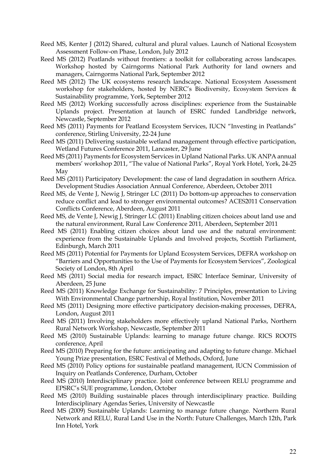- Reed MS, Kenter J (2012) Shared, cultural and plural values. Launch of National Ecosystem Assessment Follow-on Phase, London, July 2012
- Reed MS (2012) Peatlands without frontiers: a toolkit for collaborating across landscapes. Workshop hosted by Cairngorms National Park Authority for land owners and managers, Cairngorms National Park, September 2012
- Reed MS (2012) The UK ecosystems research landscape. National Ecosystem Assessment workshop for stakeholders, hosted by NERC's Biodiversity, Ecosystem Services & Sustainability programme, York, September 2012
- Reed MS (2012) Working successfully across disciplines: experience from the Sustainable Uplands project. Presentation at launch of ESRC funded Landbridge network, Newcastle, September 2012
- Reed MS (2011) Payments for Peatland Ecosystem Services, IUCN "Investing in Peatlands" conference, Stirling University, 22-24 June
- Reed MS (2011) Delivering sustainable wetland management through effective participation, Wetland Futures Conference 2011, Lancaster, 29 June
- Reed MS (2011) Payments for Ecosystem Services in Upland National Parks. UK ANPA annual members' workshop 2011, "The value of National Parks", Royal York Hotel, York, 24-25 May
- Reed MS (2011) Participatory Development: the case of land degradation in southern Africa. Development Studies Association Annual Conference, Aberdeen, October 2011
- Reed MS, de Vente J, Newig J, Stringer LC (2011) Do bottom-up approaches to conservation reduce conflict and lead to stronger environmental outcomes? ACES2011 Conservation Conflicts Conference, Aberdeen, August 2011
- Reed MS, de Vente J, Newig J, Stringer LC (2011) Enabling citizen choices about land use and the natural environment, Rural Law Conference 2011, Aberdeen, September 2011
- Reed MS (2011) Enabling citizen choices about land use and the natural environment: experience from the Sustainable Uplands and Involved projects, Scottish Parliament, Edinburgh, March 2011
- Reed MS (2011) Potential for Payments for Upland Ecosystem Services, DEFRA workshop on "Barriers and Opportunities to the Use of Payments for Ecosystem Services", Zoological Society of London, 8th April
- Reed MS (2011) Social media for research impact, ESRC Interface Seminar, University of Aberdeen, 25 June
- Reed MS (2011) Knowledge Exchange for Sustainability: 7 Principles, presentation to Living With Environmental Change partnership, Royal Institution, November 2011
- Reed MS (2011) Designing more effective participatory decision-making processes, DEFRA, London, August 2011
- Reed MS (2011) Involving stakeholders more effectively upland National Parks, Northern Rural Network Workshop, Newcastle, September 2011
- Reed MS (2010) Sustainable Uplands: learning to manage future change. RICS ROOTS conference, April
- Reed MS (2010) Preparing for the future: anticipating and adapting to future change. Michael Young Prize presentation, ESRC Festival of Methods, Oxford, June
- Reed MS (2010) Policy options for sustainable peatland management, IUCN Commission of Inquiry on Peatlands Conference, Durham, October
- Reed MS (2010) Interdisciplinary practice. Joint conference between RELU programme and EPSRC's SUE programme, London, October
- Reed MS (2010) Building sustainable places through interdisciplinary practice. Building Interdisciplinary Agendas Series, University of Newcastle
- Reed MS (2009) Sustainable Uplands: Learning to manage future change. Northern Rural Network and RELU, Rural Land Use in the North: Future Challenges, March 12th, Park Inn Hotel, York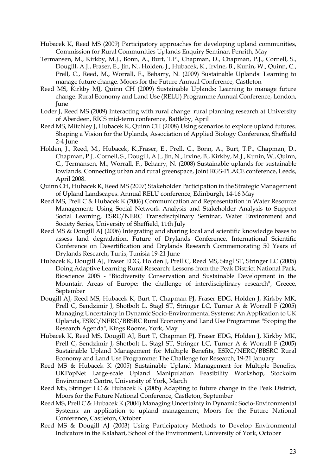- Hubacek K, Reed MS (2009) Participatory approaches for developing upland communities, Commission for Rural Communities Uplands Enquiry Seminar, Penrith, May
- Termansen, M., Kirkby, M.J., Bonn, A., Burt, T.P., Chapman, D., Chapman, P.J., Cornell, S., Dougill, A.J., Fraser, E., Jin, N., Holden, J., Hubacek, K., Irvine, B., Kunin, W., Quinn, C., Prell, C., Reed, M., Worrall, F., Beharry, N. (2009) Sustainable Uplands: Learning to manage future change. Moors for the Future Annual Conference, Castleton
- Reed MS, Kirkby MJ, Quinn CH (2009) Sustainable Uplands: Learning to manage future change. Rural Economy and Land Use (RELU) Programme Annual Conference, London, June
- Loder J, Reed MS (2009) Interacting with rural change: rural planning research at University of Aberdeen, RICS mid-term conference, Battleby, April
- Reed MS, Mitchley J, Hubacek K, Quinn CH (2008) Using scenarios to explore upland futures. Shaping a Vision for the Uplands, Association of Applied Biology Conference, Sheffield 2-4 June
- Holden, J., Reed, M., Hubacek, K.,Fraser, E., Prell, C., Bonn, A., Burt, T.P., Chapman, D., Chapman, P.J., Cornell, S., Dougill, A.J., Jin, N., Irvine, B., Kirkby, M.J., Kunin, W., Quinn, C., Termansen, M., Worrall, F., Beharry, N. (2008) Sustainable uplands for sustainable lowlands. Connecting urban and rural greenspace, Joint RGS-PLACE conference, Leeds, April 2008.
- Quinn CH, Hubacek K, Reed MS (2007) Stakeholder Participation in the Strategic Management of Upland Landscapes. Annual RELU conference, Edinburgh, 14-16 May
- Reed MS, Prell C & Hubacek K (2006) Communication and Representation in Water Resource Management: Using Social Network Analysis and Stakeholder Analysis to Support Social Learning, ESRC/NERC Transdisciplinary Seminar, Water Environment and Society Series, University of Sheffield, 11th July
- Reed MS & Dougill AJ (2006) Integrating and sharing local and scientific knowledge bases to assess land degradation. Future of Drylands Conference, International Scientific Conference on Desertification and Drylands Research Commemorating 50 Years of Drylands Research, Tunis, Tunisia 19-21 June
- Hubacek K, Dougill AJ, Fraser EDG, Holden J, Prell C, Reed MS, Stagl ST, Stringer LC (2005) Doing Adaptive Learning Rural Research: Lessons from the Peak District National Park, Bioscience 2005 - "Biodiversity Conservation and Sustainable Development in the Mountain Areas of Europe: the challenge of interdisciplinary research", Greece, September
- Dougill AJ, Reed MS, Hubacek K, Burt T, Chapman PJ, Fraser EDG, Holden J, Kirkby MK, Prell C, Sendzimir J, Shotbolt L, Stagl ST, Stringer LC, Turner A & Worrall F (2005) Managing Uncertainty in Dynamic Socio-Environmental Systems: An Application to UK Uplands, ESRC/NERC/BBSRC Rural Economy and Land Use Programme: "Scoping the Research Agenda", Kings Rooms, York, May
- Hubacek K, Reed MS, Dougill AJ, Burt T, Chapman PJ, Fraser EDG, Holden J, Kirkby MK, Prell C, Sendzimir J, Shotbolt L, Stagl ST, Stringer LC, Turner A & Worrall F (2005) Sustainable Upland Management for Multiple Benefits, ESRC/NERC/BBSRC Rural Economy and Land Use Programme: The Challenge for Research, 19-21 January
- Reed MS & Hubacek K (2005) Sustainable Upland Management for Multiple Benefits, UKPopNet Large-scale Upland Manipulation Feasibility Workshop, Stockolm Environment Centre, University of York, March
- Reed MS, Stringer LC & Hubacek K (2005) Adapting to future change in the Peak District, Moors for the Future National Conference, Castleton, September
- Reed MS, Prell C & Hubacek K (2004) Managing Uncertainty in Dynamic Socio-Environmental Systems: an application to upland management, Moors for the Future National Conference, Castleton, October
- Reed MS & Dougill AJ (2003) Using Participatory Methods to Develop Environmental Indicators in the Kalahari, School of the Environment, University of York, October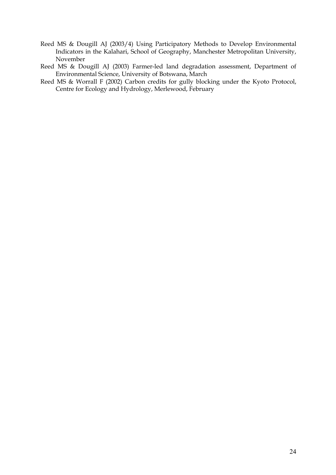- Reed MS & Dougill AJ (2003/4) Using Participatory Methods to Develop Environmental Indicators in the Kalahari, School of Geography, Manchester Metropolitan University, November
- Reed MS & Dougill AJ (2003) Farmer-led land degradation assessment, Department of Environmental Science, University of Botswana, March
- Reed MS & Worrall F (2002) Carbon credits for gully blocking under the Kyoto Protocol, Centre for Ecology and Hydrology, Merlewood, February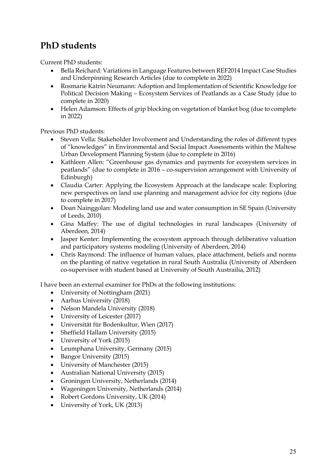### **PhD students**

Current PhD students:

- Bella Reichard: Variations in Language Features between REF2014 Impact Case Studies and Underpinning Research Articles (due to complete in 2022)
- Rosmarie Katrin Neumann: Adoption and Implementation of Scientific Knowledge for Political Decision Making – Ecosystem Services of Peatlands as a Case Study (due to complete in 2020)
- Helen Adamson: Effects of grip blocking on vegetation of blanket bog (due to complete in 2022)

Previous PhD students:

- Steven Vella: Stakeholder Involvement and Understanding the roles of different types of "knowledges" in Environmental and Social Impact Assessments within the Maltese Urban Development Planning System (due to complete in 2016)
- Kathleen Allen: "Greenhouse gas dynamics and payments for ecosystem services in peatlands" (due to complete in 2016 – co-supervision arrangement with University of Edinburgh)
- Claudia Carter: Applying the Ecosystem Approach at the landscape scale: Exploring new perspectives on land use planning and management advice for city regions (due to complete in 2017)
- Doan Nainggolan: Modeling land use and water consumption in SE Spain (University of Leeds, 2010)
- Gina Maffey: The use of digital technologies in rural landscapes (University of Aberdeen, 2014)
- Jasper Kenter: Implementing the ecosystem approach through deliberative valuation and participatory systems modeling (University of Aberdeen, 2014)
- Chris Raymond: The influence of human values, place attachment, beliefs and norms on the planting of native vegetation in rural South Australia (University of Aberdeen co-supervisor with student based at University of South Austrailia, 2012)

I have been an external examiner for PhDs at the following institutions:

- University of Nottingham (2021)
- Aarhus University (2018)
- Nelson Mandela University (2018)
- University of Leicester (2017)
- Universität für Bodenkultur, Wien (2017)
- Sheffield Hallam University (2015)
- University of York (2015)
- Leumphana University, Germany (2015)
- Bangor University (2015)
- University of Manchester (2015)
- Australian National University (2015)
- Groningen University, Netherlands (2014)
- Wageningen University, Netherlands (2014)
- Robert Gordons University, UK (2014)
- University of York, UK (2013)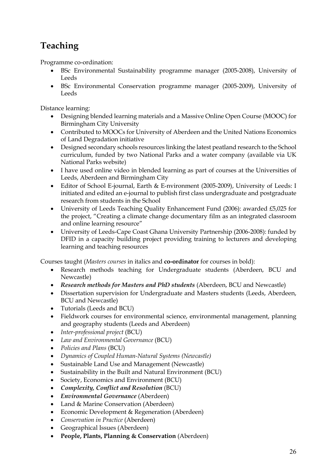# **Teaching**

Programme co-ordination:

- BSc Environmental Sustainability programme manager (2005-2008), University of Leeds
- BSc Environmental Conservation programme manager (2005-2009), University of Leeds

Distance learning:

- Designing blended learning materials and a Massive Online Open Course (MOOC) for Birmingham City University
- Contributed to MOOCs for University of Aberdeen and the United Nations Economics of Land Degradation initiative
- Designed secondary schools resources linking the latest peatland research to the School curriculum, funded by two National Parks and a water company (available via UK National Parks website)
- I have used online video in blended learning as part of courses at the Universities of Leeds, Aberdeen and Birmingham City
- Editor of School E-journal, Earth & E-nvironment (2005-2009), University of Leeds: I initiated and edited an e-journal to publish first class undergraduate and postgraduate research from students in the School
- University of Leeds Teaching Quality Enhancement Fund (2006): awarded £5,025 for the project, "Creating a climate change documentary film as an integrated classroom and online learning resource"
- University of Leeds-Cape Coast Ghana University Partnership (2006-2008): funded by DFID in a capacity building project providing training to lecturers and developing learning and teaching resources

Courses taught (*Masters courses* in italics and **co-ordinator** for courses in bold):

- Research methods teaching for Undergraduate students (Aberdeen, BCU and Newcastle)
- *Research methods for Masters and PhD students* (Aberdeen, BCU and Newcastle)
- Dissertation supervision for Undergraduate and Masters students (Leeds, Aberdeen, BCU and Newcastle)
- Tutorials (Leeds and BCU)
- Fieldwork courses for environmental science, environmental management, planning and geography students (Leeds and Aberdeen)
- *Inter-professional project* (BCU)
- *Law and Environmental Governance* (BCU)
- *Policies and Plans* (BCU)
- *Dynamics of Coupled Human-Natural Systems (Newcastle)*
- Sustainable Land Use and Management (Newcastle)
- Sustainability in the Built and Natural Environment (BCU)
- Society, Economics and Environment (BCU)
- *Complexity, Conflict and Resolution* (BCU)
- *Environmental Governance* (Aberdeen)
- Land & Marine Conservation (Aberdeen)
- Economic Development & Regeneration (Aberdeen)
- *Conservation in Practice* (Aberdeen)
- Geographical Issues (Aberdeen)
- **People, Plants, Planning & Conservation** (Aberdeen)